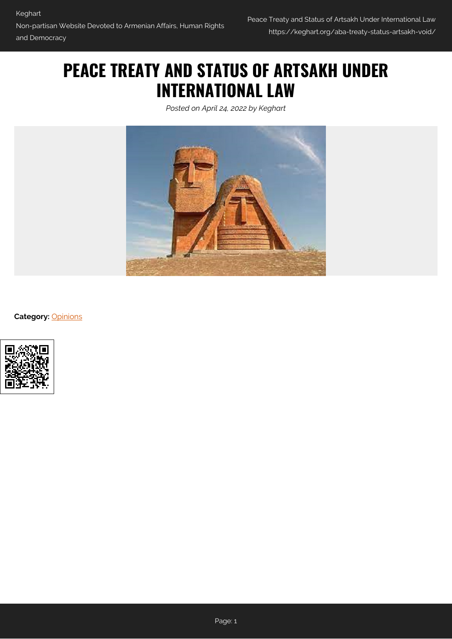# **PEACE TREATY AND STATUS OF ARTSAKH UNDER INTERNATIONAL LAW**

*Posted on April 24, 2022 by Keghart*



**Category:** [Opinions](https://keghart.org/category/opinions/)

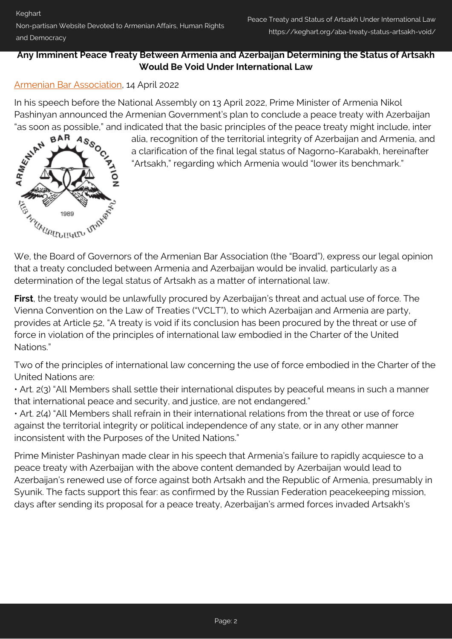#### **Any Imminent Peace Treaty Between Armenia and Azerbaijan Determining the Status of Artsakh Would Be Void Under International Law**

### [Armenian Bar Association,](#page--1-0) 14 April 2022

In his speech before the National Assembly on 13 April 2022, Prime Minister of Armenia Nikol Pashinyan announced the Armenian Government's plan to conclude a peace treaty with Azerbaijan

"as soon as possible," and indicated that the basic principles of the peace treaty might include, inter<br>alia, recognition of the territorial integrity of Azerbaijan and Armenia, and<br>a clarification of the final legal statu alia, recognition of the territorial integrity of Azerbaijan and Armenia, and a clarification of the final legal status of Nagorno-Karabakh, hereinafter "Artsakh," regarding which Armenia would "lower its benchmark."



**First**, the treaty would be unlawfully procured by Azerbaijan's threat and actual use of force. The Vienna Convention on the Law of Treaties ("VCLT"), to which Azerbaijan and Armenia are party, provides at Article 52, "A treaty is void if its conclusion has been procured by the threat or use of force in violation of the principles of international law embodied in the Charter of the United Nations."

Two of the principles of international law concerning the use of force embodied in the Charter of the United Nations are:

• Art. 2(3) "All Members shall settle their international disputes by peaceful means in such a manner that international peace and security, and justice, are not endangered."

• Art. 2(4) "All Members shall refrain in their international relations from the threat or use of force against the territorial integrity or political independence of any state, or in any other manner inconsistent with the Purposes of the United Nations."

Prime Minister Pashinyan made clear in his speech that Armenia's failure to rapidly acquiesce to a peace treaty with Azerbaijan with the above content demanded by Azerbaijan would lead to Azerbaijan's renewed use of force against both Artsakh and the Republic of Armenia, presumably in Syunik. The facts support this fear: as confirmed by the Russian Federation peacekeeping mission, days after sending its proposal for a peace treaty, Azerbaijan's armed forces invaded Artsakh's

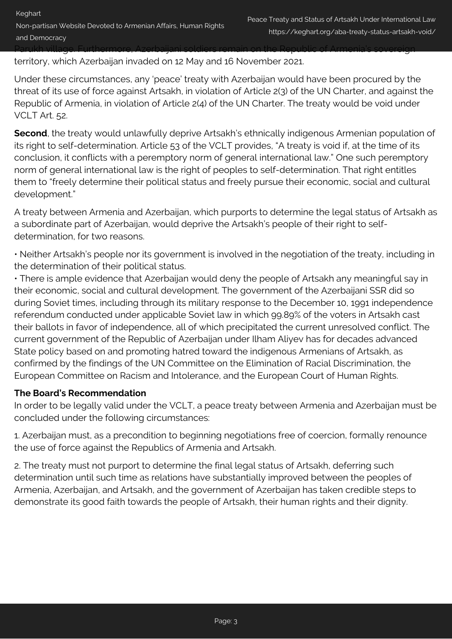territory, which Azerbaijan invaded on 12 May and 16 November 2021.

Under these circumstances, any 'peace' treaty with Azerbaijan would have been procured by the threat of its use of force against Artsakh, in violation of Article 2(3) of the UN Charter, and against the Republic of Armenia, in violation of Article 2(4) of the UN Charter. The treaty would be void under VCLT Art. 52.

**Second**, the treaty would unlawfully deprive Artsakh's ethnically indigenous Armenian population of its right to self-determination. Article 53 of the VCLT provides, "A treaty is void if, at the time of its conclusion, it conflicts with a peremptory norm of general international law." One such peremptory norm of general international law is the right of peoples to self-determination. That right entitles them to "freely determine their political status and freely pursue their economic, social and cultural development."

A treaty between Armenia and Azerbaijan, which purports to determine the legal status of Artsakh as a subordinate part of Azerbaijan, would deprive the Artsakh's people of their right to selfdetermination, for two reasons.

• Neither Artsakh's people nor its government is involved in the negotiation of the treaty, including in the determination of their political status.

• There is ample evidence that Azerbaijan would deny the people of Artsakh any meaningful say in their economic, social and cultural development. The government of the Azerbaijani SSR did so during Soviet times, including through its military response to the December 10, 1991 independence referendum conducted under applicable Soviet law in which 99.89% of the voters in Artsakh cast their ballots in favor of independence, all of which precipitated the current unresolved conflict. The current government of the Republic of Azerbaijan under Ilham Aliyev has for decades advanced State policy based on and promoting hatred toward the indigenous Armenians of Artsakh, as confirmed by the findings of the UN Committee on the Elimination of Racial Discrimination, the European Committee on Racism and Intolerance, and the European Court of Human Rights.

#### **The Board's Recommendation**

In order to be legally valid under the VCLT, a peace treaty between Armenia and Azerbaijan must be concluded under the following circumstances:

1. Azerbaijan must, as a precondition to beginning negotiations free of coercion, formally renounce the use of force against the Republics of Armenia and Artsakh.

2. The treaty must not purport to determine the final legal status of Artsakh, deferring such determination until such time as relations have substantially improved between the peoples of Armenia, Azerbaijan, and Artsakh, and the government of Azerbaijan has taken credible steps to demonstrate its good faith towards the people of Artsakh, their human rights and their dignity.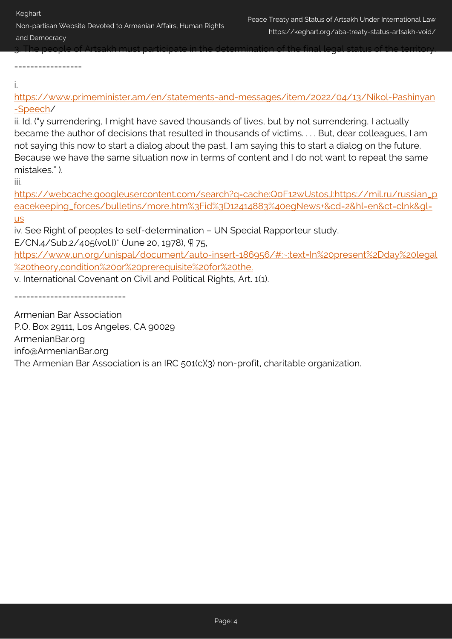Keghart

=================

Non-partisan Website Devoted to Armenian Affairs, Human Rights and Democracy

3. The people of Artsakh must participate in the determination of the final legal status of the territory.

i.

[https://www.primeminister.am/en/statements-and-messages/item/2022/04/13/Nikol-Pashinyan](https://www.primeminister.am/en/statements-and-messages/item/2022/04/13/Nikol-Pashinyan-Speech) [-Speech](https://www.primeminister.am/en/statements-and-messages/item/2022/04/13/Nikol-Pashinyan-Speech)/

ii. Id. ("y surrendering, I might have saved thousands of lives, but by not surrendering, I actually became the author of decisions that resulted in thousands of victims. . . . But, dear colleagues, I am not saying this now to start a dialog about the past, I am saying this to start a dialog on the future. Because we have the same situation now in terms of content and I do not want to repeat the same mistakes." ).

iii.

[https://webcache.googleusercontent.com/search?q=cache:Q0F12wUstosJ:https://mil.ru/russian\\_p](https://webcache.googleusercontent.com/search?q=cache:Q0F12wUstosJ:https://mil.ru/russian_peacekeeping_forces/bulletins/more.htm%3Fid%3D12414883%40egNews+&cd=2&hl=en&ct=clnk&gl=us) [eacekeeping\\_forces/bulletins/more.htm%3Fid%3D12414883%40egNews+&cd=2&hl=en&ct=clnk&gl=](https://webcache.googleusercontent.com/search?q=cache:Q0F12wUstosJ:https://mil.ru/russian_peacekeeping_forces/bulletins/more.htm%3Fid%3D12414883%40egNews+&cd=2&hl=en&ct=clnk&gl=us) [us](https://webcache.googleusercontent.com/search?q=cache:Q0F12wUstosJ:https://mil.ru/russian_peacekeeping_forces/bulletins/more.htm%3Fid%3D12414883%40egNews+&cd=2&hl=en&ct=clnk&gl=us)

iv. See Right of peoples to self-determination – UN Special Rapporteur study, E/CN.4/Sub.2/405(vol.I)\* (June 20, 1978), ¶ 75,

[https://www.un.org/unispal/document/auto-insert-186956/#:~:text=In%20present%2Dday%20legal](https://www.un.org/unispal/document/auto-insert-186956/#:~:text=In%20present%2Dday%20legal%20theory,condition%20or%20prerequisite%20for%20the.) [%20theory,condition%20or%20prerequisite%20for%20the.](https://www.un.org/unispal/document/auto-insert-186956/#:~:text=In%20present%2Dday%20legal%20theory,condition%20or%20prerequisite%20for%20the.)

v. International Covenant on Civil and Political Rights, Art. 1(1).

============================

Armenian Bar Association P.O. Box 29111, Los Angeles, CA 90029 ArmenianBar.org info@ArmenianBar.org The Armenian Bar Association is an IRC 501(c)(3) non-profit, charitable organization.